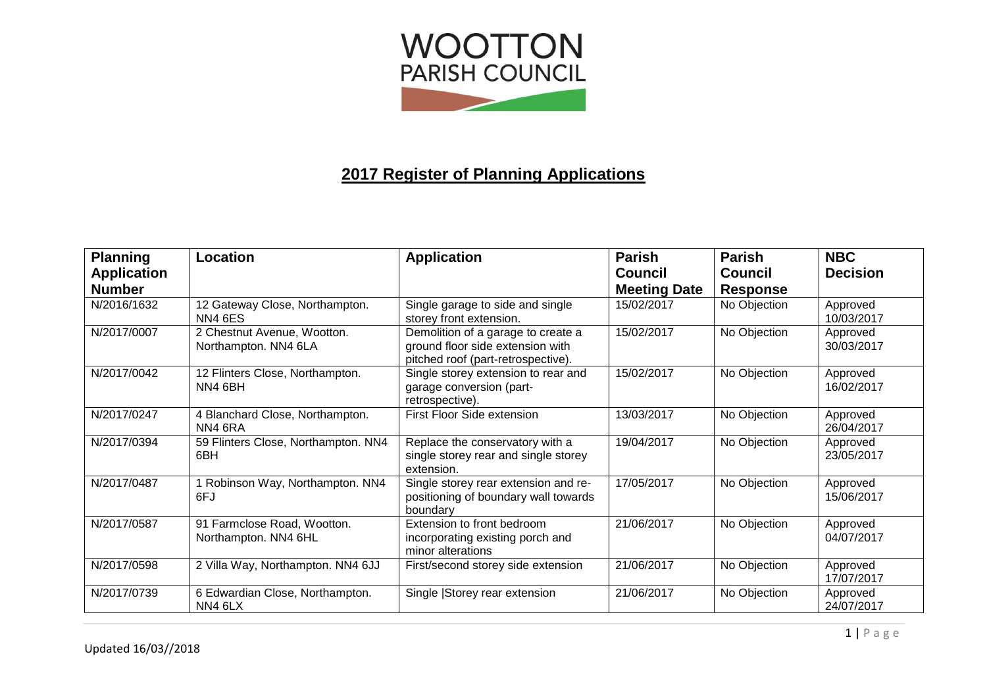

## **2017 Register of Planning Applications**

| <b>Planning</b>    | Location                                                           | <b>Application</b>                                                                                           | <b>Parish</b>       | <b>Parish</b>   | <b>NBC</b>             |
|--------------------|--------------------------------------------------------------------|--------------------------------------------------------------------------------------------------------------|---------------------|-----------------|------------------------|
| <b>Application</b> |                                                                    |                                                                                                              | <b>Council</b>      | <b>Council</b>  | <b>Decision</b>        |
| <b>Number</b>      |                                                                    |                                                                                                              | <b>Meeting Date</b> | <b>Response</b> |                        |
| N/2016/1632        | 12 Gateway Close, Northampton.<br>NN4 6ES                          | Single garage to side and single<br>storey front extension.                                                  | 15/02/2017          | No Objection    | Approved<br>10/03/2017 |
| N/2017/0007        | 2 Chestnut Avenue, Wootton.<br>Northampton. NN4 6LA                | Demolition of a garage to create a<br>ground floor side extension with<br>pitched roof (part-retrospective). | 15/02/2017          | No Objection    | Approved<br>30/03/2017 |
| N/2017/0042        | 12 Flinters Close, Northampton.<br>NN4 6BH                         | Single storey extension to rear and<br>garage conversion (part-<br>retrospective).                           | 15/02/2017          | No Objection    | Approved<br>16/02/2017 |
| N/2017/0247        | 4 Blanchard Close, Northampton.<br>NN4 6RA                         | First Floor Side extension                                                                                   | 13/03/2017          | No Objection    | Approved<br>26/04/2017 |
| N/2017/0394        | 59 Flinters Close, Northampton. NN4<br>6BH                         | Replace the conservatory with a<br>single storey rear and single storey<br>extension.                        | 19/04/2017          | No Objection    | Approved<br>23/05/2017 |
| N/2017/0487        | 1 Robinson Way, Northampton. NN4<br>6FJ                            | Single storey rear extension and re-<br>positioning of boundary wall towards<br>boundary                     | 17/05/2017          | No Objection    | Approved<br>15/06/2017 |
| N/2017/0587        | 91 Farmclose Road, Wootton.<br>Northampton. NN4 6HL                | Extension to front bedroom<br>incorporating existing porch and<br>minor alterations                          | 21/06/2017          | No Objection    | Approved<br>04/07/2017 |
| N/2017/0598        | 2 Villa Way, Northampton. NN4 6JJ                                  | First/second storey side extension                                                                           | 21/06/2017          | No Objection    | Approved<br>17/07/2017 |
| N/2017/0739        | 6 Edwardian Close, Northampton.<br>NN <sub>4</sub> 6L <sub>X</sub> | Single Storey rear extension                                                                                 | 21/06/2017          | No Objection    | Approved<br>24/07/2017 |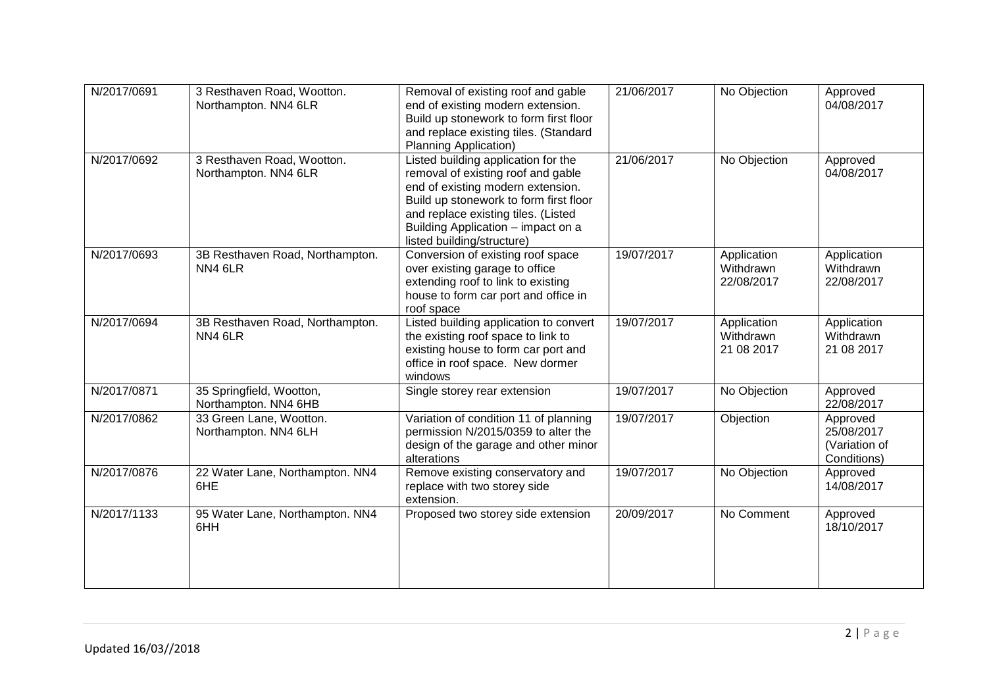| N/2017/0691 | 3 Resthaven Road, Wootton.<br>Northampton. NN4 6LR | Removal of existing roof and gable<br>end of existing modern extension.<br>Build up stonework to form first floor<br>and replace existing tiles. (Standard<br><b>Planning Application)</b>                                                                          | 21/06/2017 | No Objection                           | Approved<br>04/08/2017                                 |
|-------------|----------------------------------------------------|---------------------------------------------------------------------------------------------------------------------------------------------------------------------------------------------------------------------------------------------------------------------|------------|----------------------------------------|--------------------------------------------------------|
| N/2017/0692 | 3 Resthaven Road, Wootton.<br>Northampton. NN4 6LR | Listed building application for the<br>removal of existing roof and gable<br>end of existing modern extension.<br>Build up stonework to form first floor<br>and replace existing tiles. (Listed<br>Building Application - impact on a<br>listed building/structure) | 21/06/2017 | No Objection                           | Approved<br>04/08/2017                                 |
| N/2017/0693 | 3B Resthaven Road, Northampton.<br>NN46LR          | Conversion of existing roof space<br>over existing garage to office<br>extending roof to link to existing<br>house to form car port and office in<br>roof space                                                                                                     | 19/07/2017 | Application<br>Withdrawn<br>22/08/2017 | Application<br>Withdrawn<br>22/08/2017                 |
| N/2017/0694 | 3B Resthaven Road, Northampton.<br>NN46LR          | Listed building application to convert<br>the existing roof space to link to<br>existing house to form car port and<br>office in roof space. New dormer<br>windows                                                                                                  | 19/07/2017 | Application<br>Withdrawn<br>21 08 2017 | Application<br>Withdrawn<br>21 08 2017                 |
| N/2017/0871 | 35 Springfield, Wootton,<br>Northampton. NN4 6HB   | Single storey rear extension                                                                                                                                                                                                                                        | 19/07/2017 | No Objection                           | Approved<br>22/08/2017                                 |
| N/2017/0862 | 33 Green Lane, Wootton.<br>Northampton. NN4 6LH    | Variation of condition 11 of planning<br>permission N/2015/0359 to alter the<br>design of the garage and other minor<br>alterations                                                                                                                                 | 19/07/2017 | Objection                              | Approved<br>25/08/2017<br>(Variation of<br>Conditions) |
| N/2017/0876 | 22 Water Lane, Northampton. NN4<br>6HE             | Remove existing conservatory and<br>replace with two storey side<br>extension.                                                                                                                                                                                      | 19/07/2017 | No Objection                           | Approved<br>14/08/2017                                 |
| N/2017/1133 | 95 Water Lane, Northampton. NN4<br>6HH             | Proposed two storey side extension                                                                                                                                                                                                                                  | 20/09/2017 | No Comment                             | Approved<br>18/10/2017                                 |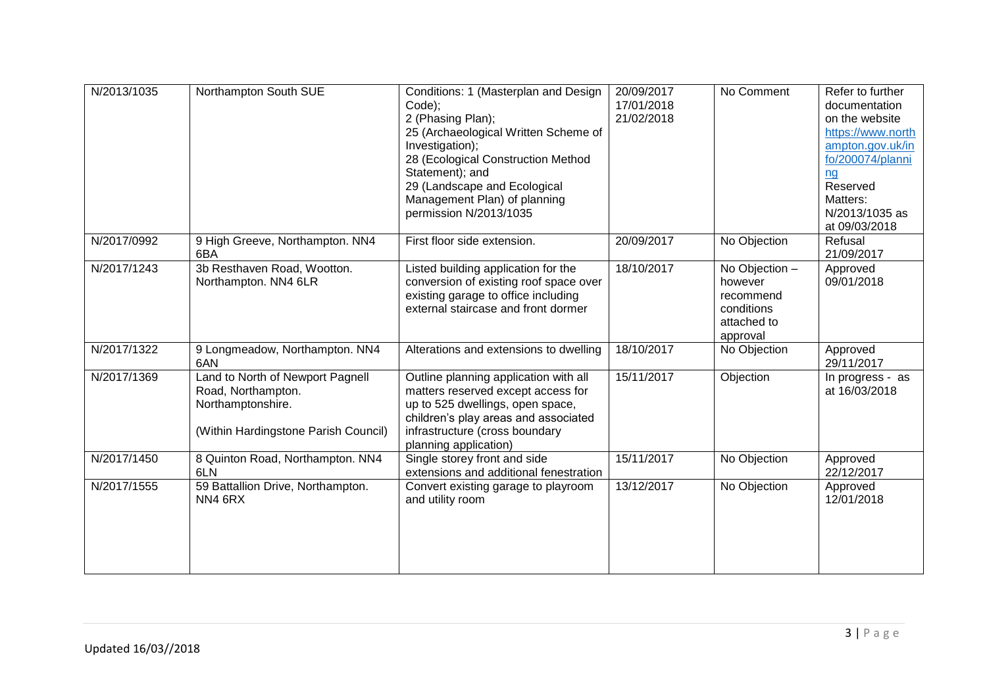| N/2013/1035 | Northampton South SUE                                                                                               | Conditions: 1 (Masterplan and Design<br>Code);<br>2 (Phasing Plan);<br>25 (Archaeological Written Scheme of<br>Investigation);<br>28 (Ecological Construction Method<br>Statement); and<br>29 (Landscape and Ecological<br>Management Plan) of planning<br>permission N/2013/1035 | 20/09/2017<br>17/01/2018<br>21/02/2018 | No Comment                                                                      | Refer to further<br>documentation<br>on the website<br>https://www.north<br>ampton.gov.uk/in<br>fo/200074/planni<br>nq<br>Reserved<br>Matters:<br>N/2013/1035 as<br>at 09/03/2018 |
|-------------|---------------------------------------------------------------------------------------------------------------------|-----------------------------------------------------------------------------------------------------------------------------------------------------------------------------------------------------------------------------------------------------------------------------------|----------------------------------------|---------------------------------------------------------------------------------|-----------------------------------------------------------------------------------------------------------------------------------------------------------------------------------|
| N/2017/0992 | 9 High Greeve, Northampton. NN4<br>6BA                                                                              | First floor side extension.                                                                                                                                                                                                                                                       | 20/09/2017                             | No Objection                                                                    | Refusal<br>21/09/2017                                                                                                                                                             |
| N/2017/1243 | 3b Resthaven Road, Wootton.<br>Northampton. NN4 6LR                                                                 | Listed building application for the<br>conversion of existing roof space over<br>existing garage to office including<br>external staircase and front dormer                                                                                                                       | 18/10/2017                             | No Objection -<br>however<br>recommend<br>conditions<br>attached to<br>approval | Approved<br>09/01/2018                                                                                                                                                            |
| N/2017/1322 | 9 Longmeadow, Northampton. NN4<br>6AN                                                                               | Alterations and extensions to dwelling                                                                                                                                                                                                                                            | 18/10/2017                             | No Objection                                                                    | Approved<br>29/11/2017                                                                                                                                                            |
| N/2017/1369 | Land to North of Newport Pagnell<br>Road, Northampton.<br>Northamptonshire.<br>(Within Hardingstone Parish Council) | Outline planning application with all<br>matters reserved except access for<br>up to 525 dwellings, open space,<br>children's play areas and associated<br>infrastructure (cross boundary<br>planning application)                                                                | 15/11/2017                             | Objection                                                                       | In progress - as<br>at 16/03/2018                                                                                                                                                 |
| N/2017/1450 | 8 Quinton Road, Northampton. NN4<br>6LN                                                                             | Single storey front and side<br>extensions and additional fenestration                                                                                                                                                                                                            | 15/11/2017                             | No Objection                                                                    | Approved<br>22/12/2017                                                                                                                                                            |
| N/2017/1555 | 59 Battallion Drive, Northampton.<br>NN4 6RX                                                                        | Convert existing garage to playroom<br>and utility room                                                                                                                                                                                                                           | 13/12/2017                             | No Objection                                                                    | Approved<br>12/01/2018                                                                                                                                                            |